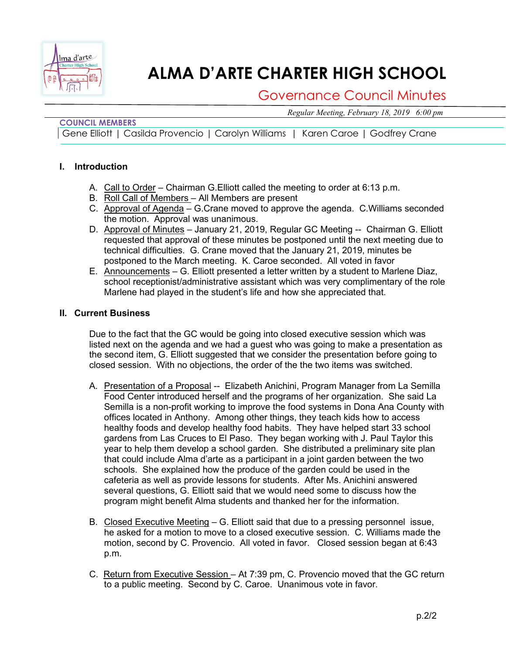

## **ALMA D'ARTE CHARTER HIGH SCHOOL**

## Governance Council Minutes

*Regular Meeting, February 18, 2019 6:00 pm*

**COUNCIL MEMBERS** Gene Elliott | Casilda Provencio | Carolyn Williams | Karen Caroe | Godfrey Crane

## **I. Introduction**

- A. Call to Order Chairman G.Elliott called the meeting to order at 6:13 p.m.
- B. Roll Call of Members All Members are present
- C. Approval of Agenda G.Crane moved to approve the agenda. C.Williams seconded the motion. Approval was unanimous.
- D. Approval of Minutes January 21, 2019, Regular GC Meeting -- Chairman G. Elliott requested that approval of these minutes be postponed until the next meeting due to technical difficulties. G. Crane moved that the January 21, 2019, minutes be postponed to the March meeting. K. Caroe seconded. All voted in favor
- E. Announcements G. Elliott presented a letter written by a student to Marlene Diaz, school receptionist/administrative assistant which was very complimentary of the role Marlene had played in the student's life and how she appreciated that.

## **II. Current Business**

Due to the fact that the GC would be going into closed executive session which was listed next on the agenda and we had a guest who was going to make a presentation as the second item, G. Elliott suggested that we consider the presentation before going to closed session. With no objections, the order of the the two items was switched.

- A. Presentation of a Proposal -- Elizabeth Anichini, Program Manager from La Semilla Food Center introduced herself and the programs of her organization. She said La Semilla is a non-profit working to improve the food systems in Dona Ana County with offices located in Anthony. Among other things, they teach kids how to access healthy foods and develop healthy food habits. They have helped start 33 school gardens from Las Cruces to El Paso. They began working with J. Paul Taylor this year to help them develop a school garden. She distributed a preliminary site plan that could include Alma d'arte as a participant in a joint garden between the two schools. She explained how the produce of the garden could be used in the cafeteria as well as provide lessons for students. After Ms. Anichini answered several questions, G. Elliott said that we would need some to discuss how the program might benefit Alma students and thanked her for the information.
- B. Closed Executive Meeting G. Elliott said that due to a pressing personnel issue, he asked for a motion to move to a closed executive session. C. Williams made the motion, second by C. Provencio. All voted in favor. Closed session began at 6:43 p.m.
- C. Return from Executive Session At 7:39 pm, C. Provencio moved that the GC return to a public meeting. Second by C. Caroe. Unanimous vote in favor.